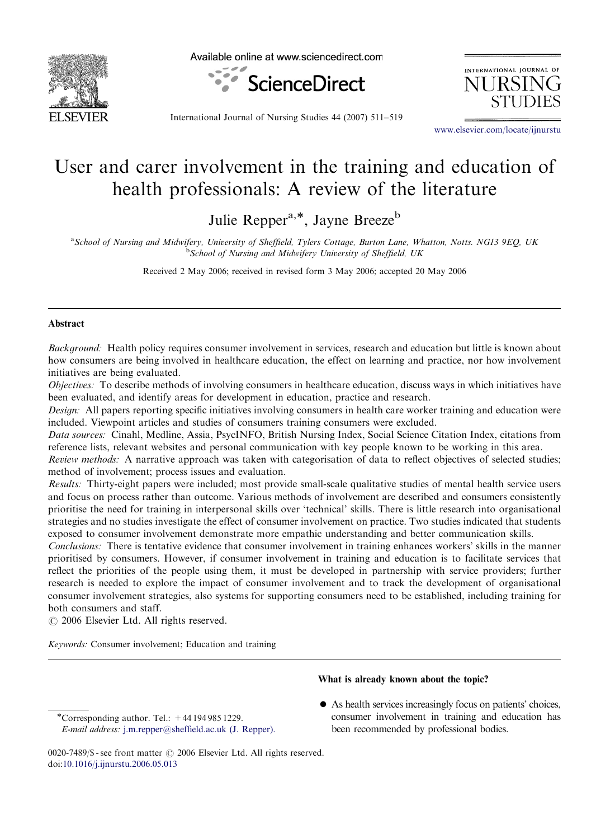

Available online at www.sciencedirect.com



INTERNATIONAL JOURNAL OF **NHRSI** 

International Journal of Nursing Studies 44 (2007) 511–519

<www.elsevier.com/locate/ijnurstu>

# User and carer involvement in the training and education of health professionals: A review of the literature

Julie Repper<sup>a,\*</sup>, Jayne Breeze<sup>b</sup>

a School of Nursing and Midwifery, University of Sheffield, Tylers Cottage, Burton Lane, Whatton, Notts. NG13 9EQ, UK <sup>b</sup>School of Nursing and Midwifery University of Sheffield, UK

Received 2 May 2006; received in revised form 3 May 2006; accepted 20 May 2006

## Abstract

Background: Health policy requires consumer involvement in services, research and education but little is known about how consumers are being involved in healthcare education, the effect on learning and practice, nor how involvement initiatives are being evaluated.

Objectives: To describe methods of involving consumers in healthcare education, discuss ways in which initiatives have been evaluated, and identify areas for development in education, practice and research.

Design: All papers reporting specific initiatives involving consumers in health care worker training and education were included. Viewpoint articles and studies of consumers training consumers were excluded.

Data sources: Cinahl, Medline, Assia, PsycINFO, British Nursing Index, Social Science Citation Index, citations from reference lists, relevant websites and personal communication with key people known to be working in this area.

Review methods: A narrative approach was taken with categorisation of data to reflect objectives of selected studies; method of involvement; process issues and evaluation.

Results: Thirty-eight papers were included; most provide small-scale qualitative studies of mental health service users and focus on process rather than outcome. Various methods of involvement are described and consumers consistently prioritise the need for training in interpersonal skills over 'technical' skills. There is little research into organisational strategies and no studies investigate the effect of consumer involvement on practice. Two studies indicated that students exposed to consumer involvement demonstrate more empathic understanding and better communication skills.

Conclusions: There is tentative evidence that consumer involvement in training enhances workers' skills in the manner prioritised by consumers. However, if consumer involvement in training and education is to facilitate services that reflect the priorities of the people using them, it must be developed in partnership with service providers; further research is needed to explore the impact of consumer involvement and to track the development of organisational consumer involvement strategies, also systems for supporting consumers need to be established, including training for both consumers and staff.

 $\odot$  2006 Elsevier Ltd. All rights reserved.

Keywords: Consumer involvement; Education and training

What is already known about the topic?

- -Corresponding author. Tel.: +44 194 985 1229. E-mail address: [j.m.repper@sheffield.ac.uk \(J. Repper\).](mailto:j.m.repper@sheffield.ac.uk)
- As health services increasingly focus on patients' choices, consumer involvement in training and education has been recommended by professional bodies.

<sup>0020-7489/\$ -</sup> see front matter  $\circ$  2006 Elsevier Ltd. All rights reserved. doi:[10.1016/j.ijnurstu.2006.05.013](dx.doi.org/10.1016/j.ijnurstu.2006.05.013)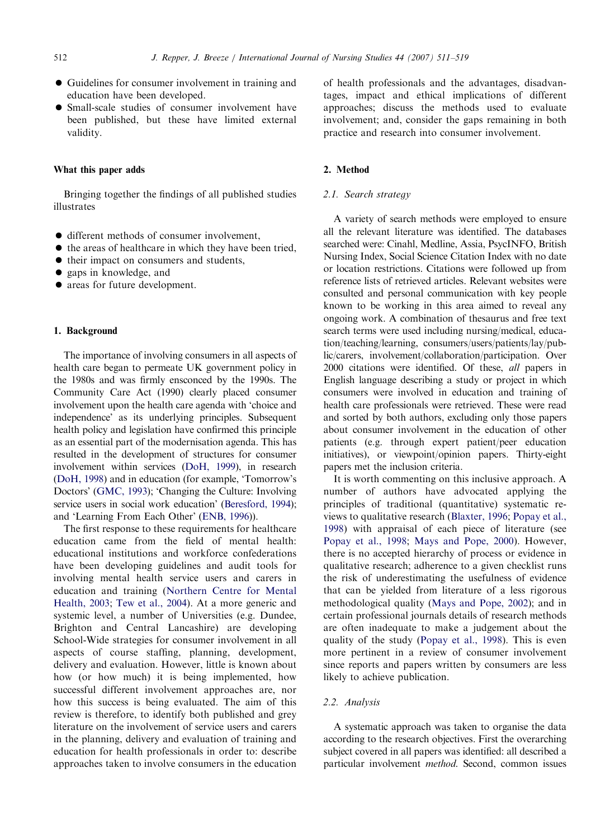- Guidelines for consumer involvement in training and education have been developed.
- Small-scale studies of consumer involvement have been published, but these have limited external validity.

## What this paper adds

Bringing together the findings of all published studies illustrates

- different methods of consumer involvement,
- $\bullet$  the areas of healthcare in which they have been tried,
- $\bullet$  their impact on consumers and students,
- gaps in knowledge, and
- areas for future development.

# 1. Background

The importance of involving consumers in all aspects of health care began to permeate UK government policy in the 1980s and was firmly ensconced by the 1990s. The Community Care Act (1990) clearly placed consumer involvement upon the health care agenda with 'choice and independence' as its underlying principles. Subsequent health policy and legislation have confirmed this principle as an essential part of the modernisation agenda. This has resulted in the development of structures for consumer involvement within services [\(DoH, 1999\)](#page-7-0), in research [\(DoH, 1998\)](#page-7-0) and in education (for example, 'Tomorrow's Doctors' ([GMC, 1993](#page-8-0)); 'Changing the Culture: Involving service users in social work education' ([Beresford, 1994](#page-7-0)); and 'Learning From Each Other' [\(ENB, 1996\)](#page-7-0)).

The first response to these requirements for healthcare education came from the field of mental health: educational institutions and workforce confederations have been developing guidelines and audit tools for involving mental health service users and carers in education and training [\(Northern Centre for Mental](#page-8-0) [Health, 2003](#page-8-0); [Tew et al., 2004](#page-8-0)). At a more generic and systemic level, a number of Universities (e.g. Dundee, Brighton and Central Lancashire) are developing School-Wide strategies for consumer involvement in all aspects of course staffing, planning, development, delivery and evaluation. However, little is known about how (or how much) it is being implemented, how successful different involvement approaches are, nor how this success is being evaluated. The aim of this review is therefore, to identify both published and grey literature on the involvement of service users and carers in the planning, delivery and evaluation of training and education for health professionals in order to: describe approaches taken to involve consumers in the education

of health professionals and the advantages, disadvantages, impact and ethical implications of different approaches; discuss the methods used to evaluate involvement; and, consider the gaps remaining in both practice and research into consumer involvement.

# 2. Method

#### 2.1. Search strategy

A variety of search methods were employed to ensure all the relevant literature was identified. The databases searched were: Cinahl, Medline, Assia, PsycINFO, British Nursing Index, Social Science Citation Index with no date or location restrictions. Citations were followed up from reference lists of retrieved articles. Relevant websites were consulted and personal communication with key people known to be working in this area aimed to reveal any ongoing work. A combination of thesaurus and free text search terms were used including nursing/medical, education/teaching/learning, consumers/users/patients/lay/public/carers, involvement/collaboration/participation. Over 2000 citations were identified. Of these, all papers in English language describing a study or project in which consumers were involved in education and training of health care professionals were retrieved. These were read and sorted by both authors, excluding only those papers about consumer involvement in the education of other patients (e.g. through expert patient/peer education initiatives), or viewpoint/opinion papers. Thirty-eight papers met the inclusion criteria.

It is worth commenting on this inclusive approach. A number of authors have advocated applying the principles of traditional (quantitative) systematic reviews to qualitative research [\(Blaxter, 1996;](#page-7-0) [Popay et al.,](#page-8-0) [1998](#page-8-0)) with appraisal of each piece of literature (see [Popay et al., 1998](#page-8-0); [Mays and Pope, 2000](#page-8-0)). However, there is no accepted hierarchy of process or evidence in qualitative research; adherence to a given checklist runs the risk of underestimating the usefulness of evidence that can be yielded from literature of a less rigorous methodological quality [\(Mays and Pope, 2002\)](#page-8-0); and in certain professional journals details of research methods are often inadequate to make a judgement about the quality of the study [\(Popay et al., 1998\)](#page-8-0). This is even more pertinent in a review of consumer involvement since reports and papers written by consumers are less likely to achieve publication.

#### 2.2. Analysis

A systematic approach was taken to organise the data according to the research objectives. First the overarching subject covered in all papers was identified: all described a particular involvement method. Second, common issues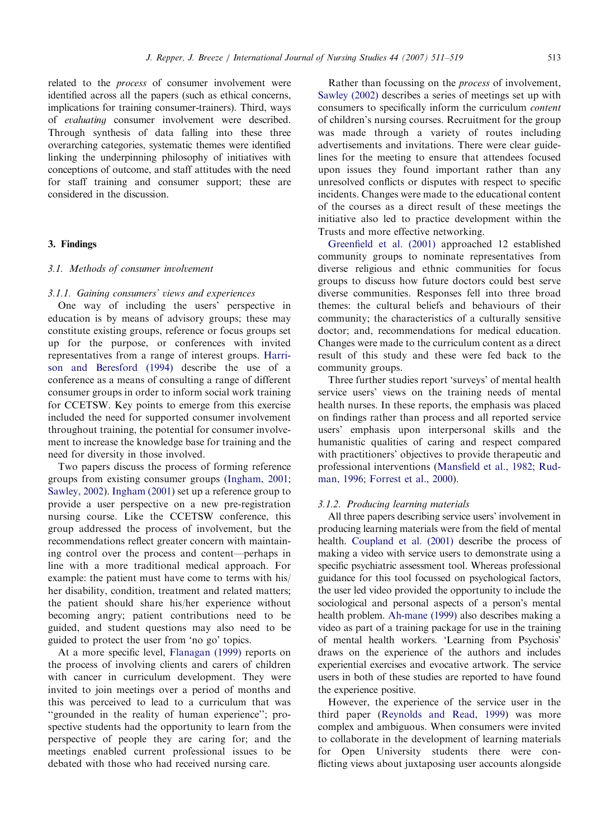related to the process of consumer involvement were identified across all the papers (such as ethical concerns, implications for training consumer-trainers). Third, ways of evaluating consumer involvement were described. Through synthesis of data falling into these three overarching categories, systematic themes were identified linking the underpinning philosophy of initiatives with conceptions of outcome, and staff attitudes with the need for staff training and consumer support; these are considered in the discussion.

#### 3. Findings

## 3.1. Methods of consumer involvement

# 3.1.1. Gaining consumers' views and experiences

One way of including the users' perspective in education is by means of advisory groups; these may constitute existing groups, reference or focus groups set up for the purpose, or conferences with invited representatives from a range of interest groups. [Harri](#page-8-0)[son and Beresford \(1994\)](#page-8-0) describe the use of a conference as a means of consulting a range of different consumer groups in order to inform social work training for CCETSW. Key points to emerge from this exercise included the need for supported consumer involvement throughout training, the potential for consumer involvement to increase the knowledge base for training and the need for diversity in those involved.

Two papers discuss the process of forming reference groups from existing consumer groups [\(Ingham, 2001](#page-8-0); [Sawley, 2002\)](#page-8-0). [Ingham \(2001\)](#page-8-0) set up a reference group to provide a user perspective on a new pre-registration nursing course. Like the CCETSW conference, this group addressed the process of involvement, but the recommendations reflect greater concern with maintaining control over the process and content—perhaps in line with a more traditional medical approach. For example: the patient must have come to terms with his/ her disability, condition, treatment and related matters; the patient should share his/her experience without becoming angry; patient contributions need to be guided, and student questions may also need to be guided to protect the user from 'no go' topics.

At a more specific level, [Flanagan \(1999\)](#page-8-0) reports on the process of involving clients and carers of children with cancer in curriculum development. They were invited to join meetings over a period of months and this was perceived to lead to a curriculum that was "grounded in the reality of human experience"; prospective students had the opportunity to learn from the perspective of people they are caring for; and the meetings enabled current professional issues to be debated with those who had received nursing care.

Rather than focussing on the process of involvement, [Sawley \(2002\)](#page-8-0) describes a series of meetings set up with consumers to specifically inform the curriculum content of children's nursing courses. Recruitment for the group was made through a variety of routes including advertisements and invitations. There were clear guidelines for the meeting to ensure that attendees focused upon issues they found important rather than any unresolved conflicts or disputes with respect to specific incidents. Changes were made to the educational content of the courses as a direct result of these meetings the initiative also led to practice development within the Trusts and more effective networking.

[Greenfield et al. \(2001\)](#page-8-0) approached 12 established community groups to nominate representatives from diverse religious and ethnic communities for focus groups to discuss how future doctors could best serve diverse communities. Responses fell into three broad themes: the cultural beliefs and behaviours of their community; the characteristics of a culturally sensitive doctor; and, recommendations for medical education. Changes were made to the curriculum content as a direct result of this study and these were fed back to the community groups.

Three further studies report 'surveys' of mental health service users' views on the training needs of mental health nurses. In these reports, the emphasis was placed on findings rather than process and all reported service users' emphasis upon interpersonal skills and the humanistic qualities of caring and respect compared with practitioners' objectives to provide therapeutic and professional interventions [\(Mansfield et al., 1982](#page-8-0); [Rud](#page-8-0)[man, 1996;](#page-8-0) [Forrest et al., 2000\)](#page-8-0).

# 3.1.2. Producing learning materials

All three papers describing service users' involvement in producing learning materials were from the field of mental health. [Coupland et al. \(2001\)](#page-7-0) describe the process of making a video with service users to demonstrate using a specific psychiatric assessment tool. Whereas professional guidance for this tool focussed on psychological factors, the user led video provided the opportunity to include the sociological and personal aspects of a person's mental health problem. [Ah-mane \(1999\)](#page-7-0) also describes making a video as part of a training package for use in the training of mental health workers. 'Learning from Psychosis' draws on the experience of the authors and includes experiential exercises and evocative artwork. The service users in both of these studies are reported to have found the experience positive.

However, the experience of the service user in the third paper ([Reynolds and Read, 1999](#page-8-0)) was more complex and ambiguous. When consumers were invited to collaborate in the development of learning materials for Open University students there were conflicting views about juxtaposing user accounts alongside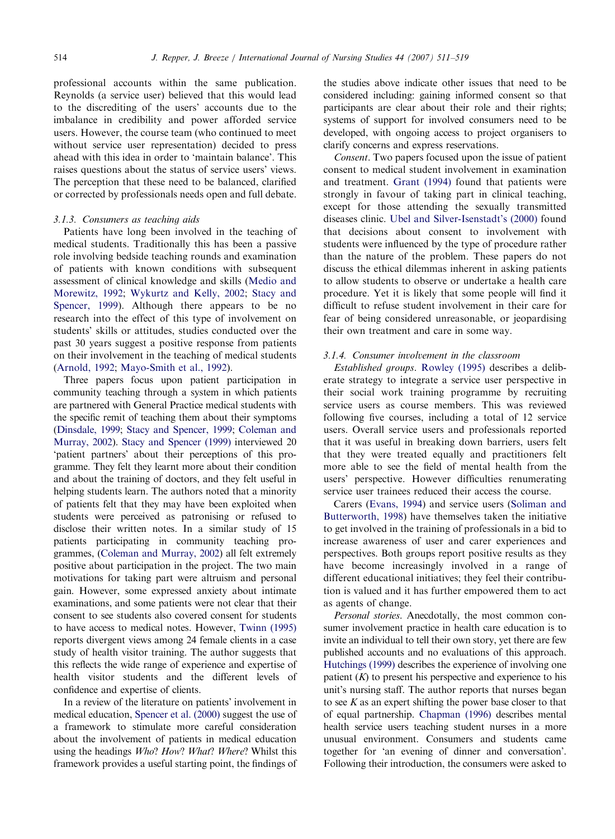professional accounts within the same publication. Reynolds (a service user) believed that this would lead to the discrediting of the users' accounts due to the imbalance in credibility and power afforded service users. However, the course team (who continued to meet without service user representation) decided to press ahead with this idea in order to 'maintain balance'. This raises questions about the status of service users' views. The perception that these need to be balanced, clarified or corrected by professionals needs open and full debate.

#### 3.1.3. Consumers as teaching aids

Patients have long been involved in the teaching of medical students. Traditionally this has been a passive role involving bedside teaching rounds and examination of patients with known conditions with subsequent assessment of clinical knowledge and skills ([Medio and](#page-8-0) [Morewitz, 1992;](#page-8-0) [Wykurtz and Kelly, 2002;](#page-8-0) [Stacy and](#page-8-0) [Spencer, 1999\)](#page-8-0). Although there appears to be no research into the effect of this type of involvement on students' skills or attitudes, studies conducted over the past 30 years suggest a positive response from patients on their involvement in the teaching of medical students [\(Arnold, 1992](#page-7-0); [Mayo-Smith et al., 1992\)](#page-8-0).

Three papers focus upon patient participation in community teaching through a system in which patients are partnered with General Practice medical students with the specific remit of teaching them about their symptoms [\(Dinsdale, 1999](#page-7-0); [Stacy and Spencer, 1999;](#page-8-0) [Coleman and](#page-7-0) [Murray, 2002](#page-7-0)). [Stacy and Spencer \(1999\)](#page-8-0) interviewed 20 'patient partners' about their perceptions of this programme. They felt they learnt more about their condition and about the training of doctors, and they felt useful in helping students learn. The authors noted that a minority of patients felt that they may have been exploited when students were perceived as patronising or refused to disclose their written notes. In a similar study of 15 patients participating in community teaching programmes, [\(Coleman and Murray, 2002](#page-7-0)) all felt extremely positive about participation in the project. The two main motivations for taking part were altruism and personal gain. However, some expressed anxiety about intimate examinations, and some patients were not clear that their consent to see students also covered consent for students to have access to medical notes. However, [Twinn \(1995\)](#page-8-0) reports divergent views among 24 female clients in a case study of health visitor training. The author suggests that this reflects the wide range of experience and expertise of health visitor students and the different levels of confidence and expertise of clients.

In a review of the literature on patients' involvement in medical education, [Spencer et al. \(2000\)](#page-8-0) suggest the use of a framework to stimulate more careful consideration about the involvement of patients in medical education using the headings *Who? How? What? Where?* Whilst this framework provides a useful starting point, the findings of the studies above indicate other issues that need to be considered including: gaining informed consent so that participants are clear about their role and their rights; systems of support for involved consumers need to be developed, with ongoing access to project organisers to clarify concerns and express reservations.

Consent. Two papers focused upon the issue of patient consent to medical student involvement in examination and treatment. [Grant \(1994\)](#page-8-0) found that patients were strongly in favour of taking part in clinical teaching, except for those attending the sexually transmitted diseases clinic. [Ubel and Silver-Isenstadt's \(2000\)](#page-8-0) found that decisions about consent to involvement with students were influenced by the type of procedure rather than the nature of the problem. These papers do not discuss the ethical dilemmas inherent in asking patients to allow students to observe or undertake a health care procedure. Yet it is likely that some people will find it difficult to refuse student involvement in their care for fear of being considered unreasonable, or jeopardising their own treatment and care in some way.

## 3.1.4. Consumer involvement in the classroom

Established groups. [Rowley \(1995\)](#page-8-0) describes a deliberate strategy to integrate a service user perspective in their social work training programme by recruiting service users as course members. This was reviewed following five courses, including a total of 12 service users. Overall service users and professionals reported that it was useful in breaking down barriers, users felt that they were treated equally and practitioners felt more able to see the field of mental health from the users' perspective. However difficulties renumerating service user trainees reduced their access the course.

Carers [\(Evans, 1994](#page-7-0)) and service users [\(Soliman and](#page-8-0) [Butterworth, 1998](#page-8-0)) have themselves taken the initiative to get involved in the training of professionals in a bid to increase awareness of user and carer experiences and perspectives. Both groups report positive results as they have become increasingly involved in a range of different educational initiatives; they feel their contribution is valued and it has further empowered them to act as agents of change.

Personal stories. Anecdotally, the most common consumer involvement practice in health care education is to invite an individual to tell their own story, yet there are few published accounts and no evaluations of this approach. [Hutchings \(1999\)](#page-8-0) describes the experience of involving one patient  $(K)$  to present his perspective and experience to his unit's nursing staff. The author reports that nurses began to see  $K$  as an expert shifting the power base closer to that of equal partnership. [Chapman \(1996\)](#page-7-0) describes mental health service users teaching student nurses in a more unusual environment. Consumers and students came together for 'an evening of dinner and conversation'. Following their introduction, the consumers were asked to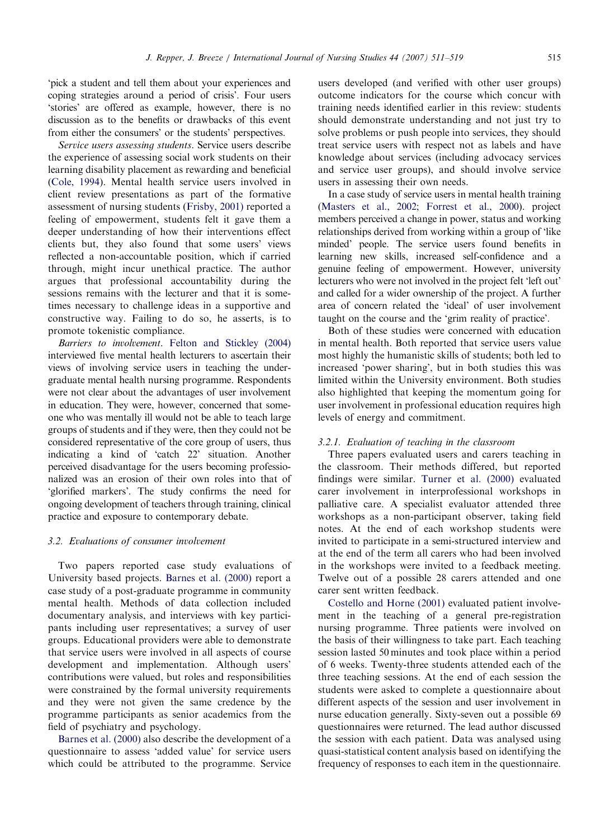'pick a student and tell them about your experiences and coping strategies around a period of crisis'. Four users 'stories' are offered as example, however, there is no discussion as to the benefits or drawbacks of this event from either the consumers' or the students' perspectives.

Service users assessing students. Service users describe the experience of assessing social work students on their learning disability placement as rewarding and beneficial ([Cole, 1994](#page-7-0)). Mental health service users involved in client review presentations as part of the formative assessment of nursing students [\(Frisby, 2001\)](#page-8-0) reported a feeling of empowerment, students felt it gave them a deeper understanding of how their interventions effect clients but, they also found that some users' views reflected a non-accountable position, which if carried through, might incur unethical practice. The author argues that professional accountability during the sessions remains with the lecturer and that it is sometimes necessary to challenge ideas in a supportive and constructive way. Failing to do so, he asserts, is to promote tokenistic compliance.

Barriers to involvement. [Felton and Stickley \(2004\)](#page-7-0) interviewed five mental health lecturers to ascertain their views of involving service users in teaching the undergraduate mental health nursing programme. Respondents were not clear about the advantages of user involvement in education. They were, however, concerned that someone who was mentally ill would not be able to teach large groups of students and if they were, then they could not be considered representative of the core group of users, thus indicating a kind of 'catch 22' situation. Another perceived disadvantage for the users becoming professionalized was an erosion of their own roles into that of 'glorified markers'. The study confirms the need for ongoing development of teachers through training, clinical practice and exposure to contemporary debate.

## 3.2. Evaluations of consumer involvement

Two papers reported case study evaluations of University based projects. [Barnes et al. \(2000\)](#page-7-0) report a case study of a post-graduate programme in community mental health. Methods of data collection included documentary analysis, and interviews with key participants including user representatives; a survey of user groups. Educational providers were able to demonstrate that service users were involved in all aspects of course development and implementation. Although users' contributions were valued, but roles and responsibilities were constrained by the formal university requirements and they were not given the same credence by the programme participants as senior academics from the field of psychiatry and psychology.

[Barnes et al. \(2000\)](#page-7-0) also describe the development of a questionnaire to assess 'added value' for service users which could be attributed to the programme. Service users developed (and verified with other user groups) outcome indicators for the course which concur with training needs identified earlier in this review: students should demonstrate understanding and not just try to solve problems or push people into services, they should treat service users with respect not as labels and have knowledge about services (including advocacy services and service user groups), and should involve service users in assessing their own needs.

In a case study of service users in mental health training [\(Masters et al., 2002;](#page-8-0) [Forrest et al., 2000](#page-8-0)). project members perceived a change in power, status and working relationships derived from working within a group of 'like minded' people. The service users found benefits in learning new skills, increased self-confidence and a genuine feeling of empowerment. However, university lecturers who were not involved in the project felt 'left out' and called for a wider ownership of the project. A further area of concern related the 'ideal' of user involvement taught on the course and the 'grim reality of practice'.

Both of these studies were concerned with education in mental health. Both reported that service users value most highly the humanistic skills of students; both led to increased 'power sharing', but in both studies this was limited within the University environment. Both studies also highlighted that keeping the momentum going for user involvement in professional education requires high levels of energy and commitment.

# 3.2.1. Evaluation of teaching in the classroom

Three papers evaluated users and carers teaching in the classroom. Their methods differed, but reported findings were similar. [Turner et al. \(2000\)](#page-8-0) evaluated carer involvement in interprofessional workshops in palliative care. A specialist evaluator attended three workshops as a non-participant observer, taking field notes. At the end of each workshop students were invited to participate in a semi-structured interview and at the end of the term all carers who had been involved in the workshops were invited to a feedback meeting. Twelve out of a possible 28 carers attended and one carer sent written feedback.

[Costello and Horne \(2001\)](#page-7-0) evaluated patient involvement in the teaching of a general pre-registration nursing programme. Three patients were involved on the basis of their willingness to take part. Each teaching session lasted 50 minutes and took place within a period of 6 weeks. Twenty-three students attended each of the three teaching sessions. At the end of each session the students were asked to complete a questionnaire about different aspects of the session and user involvement in nurse education generally. Sixty-seven out a possible 69 questionnaires were returned. The lead author discussed the session with each patient. Data was analysed using quasi-statistical content analysis based on identifying the frequency of responses to each item in the questionnaire.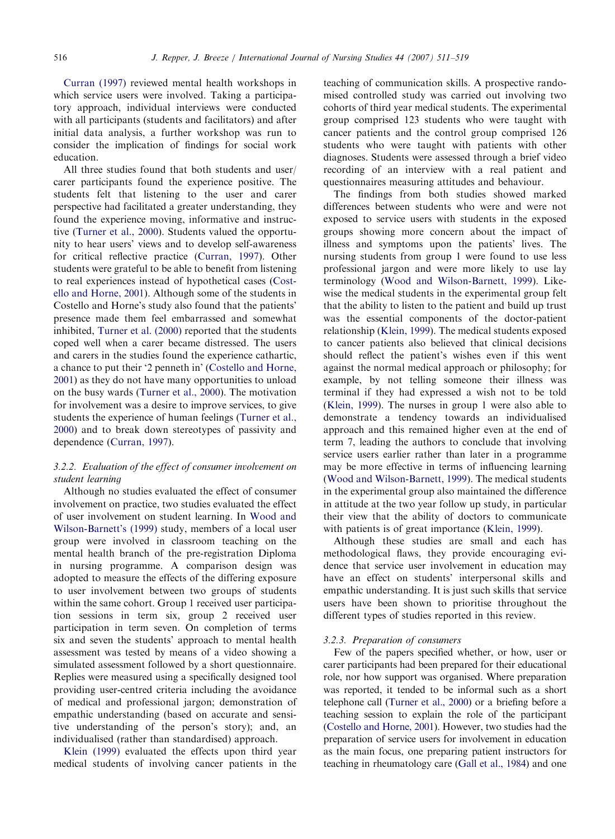[Curran \(1997\)](#page-7-0) reviewed mental health workshops in which service users were involved. Taking a participatory approach, individual interviews were conducted with all participants (students and facilitators) and after initial data analysis, a further workshop was run to consider the implication of findings for social work education.

All three studies found that both students and user/ carer participants found the experience positive. The students felt that listening to the user and carer perspective had facilitated a greater understanding, they found the experience moving, informative and instructive [\(Turner et al., 2000](#page-8-0)). Students valued the opportunity to hear users' views and to develop self-awareness for critical reflective practice [\(Curran, 1997](#page-7-0)). Other students were grateful to be able to benefit from listening to real experiences instead of hypothetical cases ([Cost](#page-7-0)[ello and Horne, 2001\)](#page-7-0). Although some of the students in Costello and Horne's study also found that the patients' presence made them feel embarrassed and somewhat inhibited, [Turner et al. \(2000\)](#page-8-0) reported that the students coped well when a carer became distressed. The users and carers in the studies found the experience cathartic, a chance to put their '2 penneth in' [\(Costello and Horne,](#page-7-0) [2001](#page-7-0)) as they do not have many opportunities to unload on the busy wards ([Turner et al., 2000\)](#page-8-0). The motivation for involvement was a desire to improve services, to give students the experience of human feelings [\(Turner et al.,](#page-8-0) [2000](#page-8-0)) and to break down stereotypes of passivity and dependence ([Curran, 1997\)](#page-7-0).

# 3.2.2. Evaluation of the effect of consumer involvement on student learning

Although no studies evaluated the effect of consumer involvement on practice, two studies evaluated the effect of user involvement on student learning. In [Wood and](#page-8-0) [Wilson-Barnett's \(1999\)](#page-8-0) study, members of a local user group were involved in classroom teaching on the mental health branch of the pre-registration Diploma in nursing programme. A comparison design was adopted to measure the effects of the differing exposure to user involvement between two groups of students within the same cohort. Group 1 received user participation sessions in term six, group 2 received user participation in term seven. On completion of terms six and seven the students' approach to mental health assessment was tested by means of a video showing a simulated assessment followed by a short questionnaire. Replies were measured using a specifically designed tool providing user-centred criteria including the avoidance of medical and professional jargon; demonstration of empathic understanding (based on accurate and sensitive understanding of the person's story); and, an individualised (rather than standardised) approach.

[Klein \(1999\)](#page-8-0) evaluated the effects upon third year medical students of involving cancer patients in the teaching of communication skills. A prospective randomised controlled study was carried out involving two cohorts of third year medical students. The experimental group comprised 123 students who were taught with cancer patients and the control group comprised 126 students who were taught with patients with other diagnoses. Students were assessed through a brief video recording of an interview with a real patient and questionnaires measuring attitudes and behaviour.

The findings from both studies showed marked differences between students who were and were not exposed to service users with students in the exposed groups showing more concern about the impact of illness and symptoms upon the patients' lives. The nursing students from group 1 were found to use less professional jargon and were more likely to use lay terminology [\(Wood and Wilson-Barnett, 1999\)](#page-8-0). Likewise the medical students in the experimental group felt that the ability to listen to the patient and build up trust was the essential components of the doctor-patient relationship [\(Klein, 1999\)](#page-8-0). The medical students exposed to cancer patients also believed that clinical decisions should reflect the patient's wishes even if this went against the normal medical approach or philosophy; for example, by not telling someone their illness was terminal if they had expressed a wish not to be told ([Klein, 1999](#page-8-0)). The nurses in group 1 were also able to demonstrate a tendency towards an individualised approach and this remained higher even at the end of term 7, leading the authors to conclude that involving service users earlier rather than later in a programme may be more effective in terms of influencing learning ([Wood and Wilson-Barnett, 1999\)](#page-8-0). The medical students in the experimental group also maintained the difference in attitude at the two year follow up study, in particular their view that the ability of doctors to communicate with patients is of great importance [\(Klein, 1999](#page-8-0)).

Although these studies are small and each has methodological flaws, they provide encouraging evidence that service user involvement in education may have an effect on students' interpersonal skills and empathic understanding. It is just such skills that service users have been shown to prioritise throughout the different types of studies reported in this review.

#### 3.2.3. Preparation of consumers

Few of the papers specified whether, or how, user or carer participants had been prepared for their educational role, nor how support was organised. Where preparation was reported, it tended to be informal such as a short telephone call [\(Turner et al., 2000\)](#page-8-0) or a briefing before a teaching session to explain the role of the participant [\(Costello and Horne, 2001](#page-7-0)). However, two studies had the preparation of service users for involvement in education as the main focus, one preparing patient instructors for teaching in rheumatology care ([Gall et al., 1984\)](#page-8-0) and one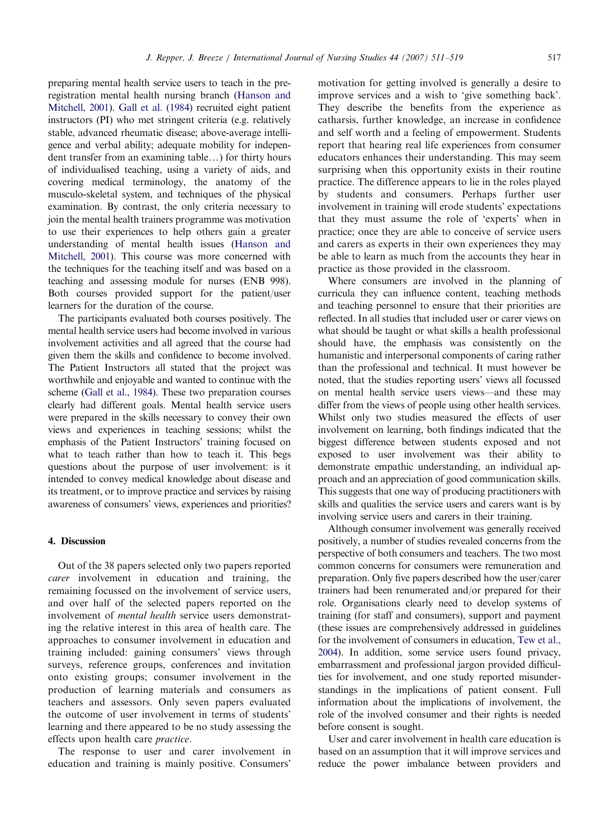preparing mental health service users to teach in the preregistration mental health nursing branch [\(Hanson and](#page-8-0) [Mitchell, 2001\)](#page-8-0). [Gall et al. \(1984\)](#page-8-0) recruited eight patient instructors (PI) who met stringent criteria (e.g. relatively stable, advanced rheumatic disease; above-average intelligence and verbal ability; adequate mobility for independent transfer from an examining table...) for thirty hours of individualised teaching, using a variety of aids, and covering medical terminology, the anatomy of the musculo-skeletal system, and techniques of the physical examination. By contrast, the only criteria necessary to join the mental health trainers programme was motivation to use their experiences to help others gain a greater understanding of mental health issues ([Hanson and](#page-8-0) [Mitchell, 2001\)](#page-8-0). This course was more concerned with the techniques for the teaching itself and was based on a teaching and assessing module for nurses (ENB 998). Both courses provided support for the patient/user learners for the duration of the course.

The participants evaluated both courses positively. The mental health service users had become involved in various involvement activities and all agreed that the course had given them the skills and confidence to become involved. The Patient Instructors all stated that the project was worthwhile and enjoyable and wanted to continue with the scheme [\(Gall et al., 1984\)](#page-8-0). These two preparation courses clearly had different goals. Mental health service users were prepared in the skills necessary to convey their own views and experiences in teaching sessions; whilst the emphasis of the Patient Instructors' training focused on what to teach rather than how to teach it. This begs questions about the purpose of user involvement: is it intended to convey medical knowledge about disease and its treatment, or to improve practice and services by raising awareness of consumers' views, experiences and priorities?

# 4. Discussion

Out of the 38 papers selected only two papers reported carer involvement in education and training, the remaining focussed on the involvement of service users, and over half of the selected papers reported on the involvement of mental health service users demonstrating the relative interest in this area of health care. The approaches to consumer involvement in education and training included: gaining consumers' views through surveys, reference groups, conferences and invitation onto existing groups; consumer involvement in the production of learning materials and consumers as teachers and assessors. Only seven papers evaluated the outcome of user involvement in terms of students' learning and there appeared to be no study assessing the effects upon health care practice.

The response to user and carer involvement in education and training is mainly positive. Consumers'

motivation for getting involved is generally a desire to improve services and a wish to 'give something back'. They describe the benefits from the experience as catharsis, further knowledge, an increase in confidence and self worth and a feeling of empowerment. Students report that hearing real life experiences from consumer educators enhances their understanding. This may seem surprising when this opportunity exists in their routine practice. The difference appears to lie in the roles played by students and consumers. Perhaps further user involvement in training will erode students' expectations that they must assume the role of 'experts' when in practice; once they are able to conceive of service users and carers as experts in their own experiences they may be able to learn as much from the accounts they hear in practice as those provided in the classroom.

Where consumers are involved in the planning of curricula they can influence content, teaching methods and teaching personnel to ensure that their priorities are reflected. In all studies that included user or carer views on what should be taught or what skills a health professional should have, the emphasis was consistently on the humanistic and interpersonal components of caring rather than the professional and technical. It must however be noted, that the studies reporting users' views all focussed on mental health service users views—and these may differ from the views of people using other health services. Whilst only two studies measured the effects of user involvement on learning, both findings indicated that the biggest difference between students exposed and not exposed to user involvement was their ability to demonstrate empathic understanding, an individual approach and an appreciation of good communication skills. This suggests that one way of producing practitioners with skills and qualities the service users and carers want is by involving service users and carers in their training.

Although consumer involvement was generally received positively, a number of studies revealed concerns from the perspective of both consumers and teachers. The two most common concerns for consumers were remuneration and preparation. Only five papers described how the user/carer trainers had been renumerated and/or prepared for their role. Organisations clearly need to develop systems of training (for staff and consumers), support and payment (these issues are comprehensively addressed in guidelines for the involvement of consumers in education, [Tew et al.,](#page-8-0) [2004\)](#page-8-0). In addition, some service users found privacy, embarrassment and professional jargon provided difficulties for involvement, and one study reported misunderstandings in the implications of patient consent. Full information about the implications of involvement, the role of the involved consumer and their rights is needed before consent is sought.

User and carer involvement in health care education is based on an assumption that it will improve services and reduce the power imbalance between providers and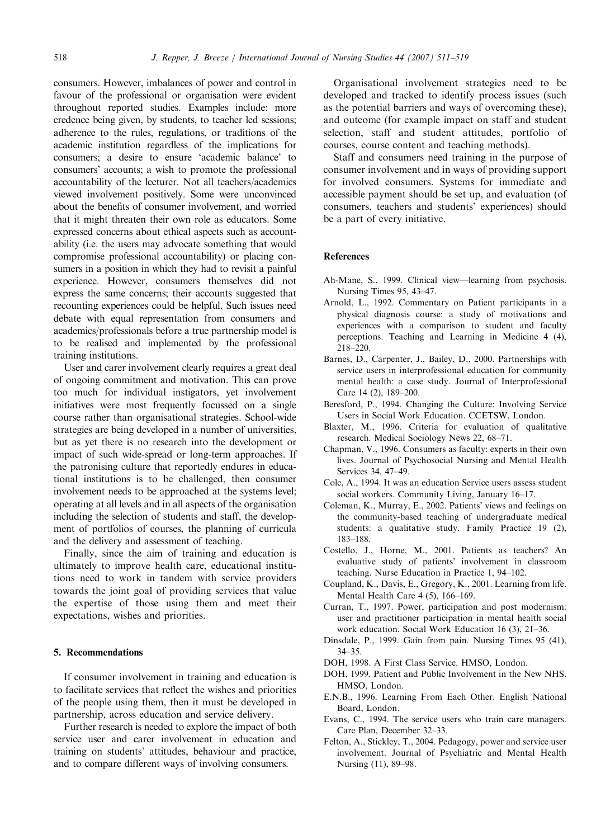<span id="page-7-0"></span>consumers. However, imbalances of power and control in favour of the professional or organisation were evident throughout reported studies. Examples include: more credence being given, by students, to teacher led sessions; adherence to the rules, regulations, or traditions of the academic institution regardless of the implications for consumers; a desire to ensure 'academic balance' to consumers' accounts; a wish to promote the professional accountability of the lecturer. Not all teachers/academics viewed involvement positively. Some were unconvinced about the benefits of consumer involvement, and worried that it might threaten their own role as educators. Some expressed concerns about ethical aspects such as accountability (i.e. the users may advocate something that would compromise professional accountability) or placing consumers in a position in which they had to revisit a painful experience. However, consumers themselves did not express the same concerns; their accounts suggested that recounting experiences could be helpful. Such issues need debate with equal representation from consumers and academics/professionals before a true partnership model is to be realised and implemented by the professional training institutions.

User and carer involvement clearly requires a great deal of ongoing commitment and motivation. This can prove too much for individual instigators, yet involvement initiatives were most frequently focussed on a single course rather than organisational strategies. School-wide strategies are being developed in a number of universities, but as yet there is no research into the development or impact of such wide-spread or long-term approaches. If the patronising culture that reportedly endures in educational institutions is to be challenged, then consumer involvement needs to be approached at the systems level; operating at all levels and in all aspects of the organisation including the selection of students and staff, the development of portfolios of courses, the planning of curricula and the delivery and assessment of teaching.

Finally, since the aim of training and education is ultimately to improve health care, educational institutions need to work in tandem with service providers towards the joint goal of providing services that value the expertise of those using them and meet their expectations, wishes and priorities.

# 5. Recommendations

If consumer involvement in training and education is to facilitate services that reflect the wishes and priorities of the people using them, then it must be developed in partnership, across education and service delivery.

Further research is needed to explore the impact of both service user and carer involvement in education and training on students' attitudes, behaviour and practice, and to compare different ways of involving consumers.

Organisational involvement strategies need to be developed and tracked to identify process issues (such as the potential barriers and ways of overcoming these), and outcome (for example impact on staff and student selection, staff and student attitudes, portfolio of courses, course content and teaching methods).

Staff and consumers need training in the purpose of consumer involvement and in ways of providing support for involved consumers. Systems for immediate and accessible payment should be set up, and evaluation (of consumers, teachers and students' experiences) should be a part of every initiative.

#### References

- Ah-Mane, S., 1999. Clinical view—learning from psychosis. Nursing Times 95, 43–47.
- Arnold, L., 1992. Commentary on Patient participants in a physical diagnosis course: a study of motivations and experiences with a comparison to student and faculty perceptions. Teaching and Learning in Medicine 4 (4), 218–220.
- Barnes, D., Carpenter, J., Bailey, D., 2000. Partnerships with service users in interprofessional education for community mental health: a case study. Journal of Interprofessional Care 14 (2), 189–200.
- Beresford, P., 1994. Changing the Culture: Involving Service Users in Social Work Education. CCETSW, London.
- Blaxter, M., 1996. Criteria for evaluation of qualitative research. Medical Sociology News 22, 68–71.
- Chapman, V., 1996. Consumers as faculty: experts in their own lives. Journal of Psychosocial Nursing and Mental Health Services 34, 47–49.
- Cole, A., 1994. It was an education Service users assess student social workers. Community Living, January 16–17.
- Coleman, K., Murray, E., 2002. Patients' views and feelings on the community-based teaching of undergraduate medical students: a qualitative study. Family Practice 19 (2), 183–188.
- Costello, J., Horne, M., 2001. Patients as teachers? An evaluative study of patients' involvement in classroom teaching. Nurse Education in Practice 1, 94–102.
- Coupland, K., Davis, E., Gregory, K., 2001. Learning from life. Mental Health Care 4 (5), 166–169.
- Curran, T., 1997. Power, participation and post modernism: user and practitioner participation in mental health social work education. Social Work Education 16 (3), 21–36.
- Dinsdale, P., 1999. Gain from pain. Nursing Times 95 (41), 34–35.
- DOH, 1998. A First Class Service. HMSO, London.
- DOH, 1999. Patient and Public Involvement in the New NHS. HMSO, London.
- E.N.B., 1996. Learning From Each Other. English National Board, London.
- Evans, C., 1994. The service users who train care managers. Care Plan, December 32–33.
- Felton, A., Stickley, T., 2004. Pedagogy, power and service user involvement. Journal of Psychiatric and Mental Health Nursing (11), 89–98.